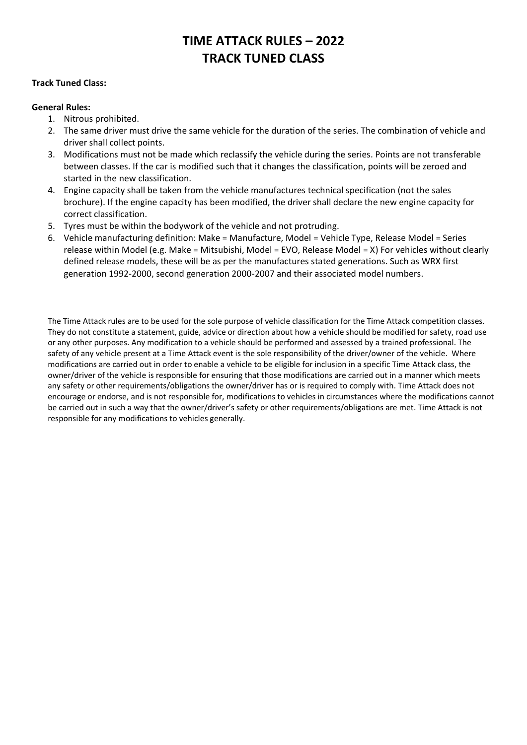# **TIME ATTACK RULES – 2022 TRACK TUNED CLASS**

#### **Track Tuned Class:**

#### **General Rules:**

- 1. Nitrous prohibited.
- 2. The same driver must drive the same vehicle for the duration of the series. The combination of vehicle and driver shall collect points.
- 3. Modifications must not be made which reclassify the vehicle during the series. Points are not transferable between classes. If the car is modified such that it changes the classification, points will be zeroed and started in the new classification.
- 4. Engine capacity shall be taken from the vehicle manufactures technical specification (not the sales brochure). If the engine capacity has been modified, the driver shall declare the new engine capacity for correct classification.
- 5. Tyres must be within the bodywork of the vehicle and not protruding.
- 6. Vehicle manufacturing definition: Make = Manufacture, Model = Vehicle Type, Release Model = Series release within Model (e.g. Make = Mitsubishi, Model = EVO, Release Model = X) For vehicles without clearly defined release models, these will be as per the manufactures stated generations. Such as WRX first generation 1992-2000, second generation 2000-2007 and their associated model numbers.

The Time Attack rules are to be used for the sole purpose of vehicle classification for the Time Attack competition classes. They do not constitute a statement, guide, advice or direction about how a vehicle should be modified for safety, road use or any other purposes. Any modification to a vehicle should be performed and assessed by a trained professional. The safety of any vehicle present at a Time Attack event is the sole responsibility of the driver/owner of the vehicle. Where modifications are carried out in order to enable a vehicle to be eligible for inclusion in a specific Time Attack class, the owner/driver of the vehicle is responsible for ensuring that those modifications are carried out in a manner which meets any safety or other requirements/obligations the owner/driver has or is required to comply with. Time Attack does not encourage or endorse, and is not responsible for, modifications to vehicles in circumstances where the modifications cannot be carried out in such a way that the owner/driver's safety or other requirements/obligations are met. Time Attack is not responsible for any modifications to vehicles generally.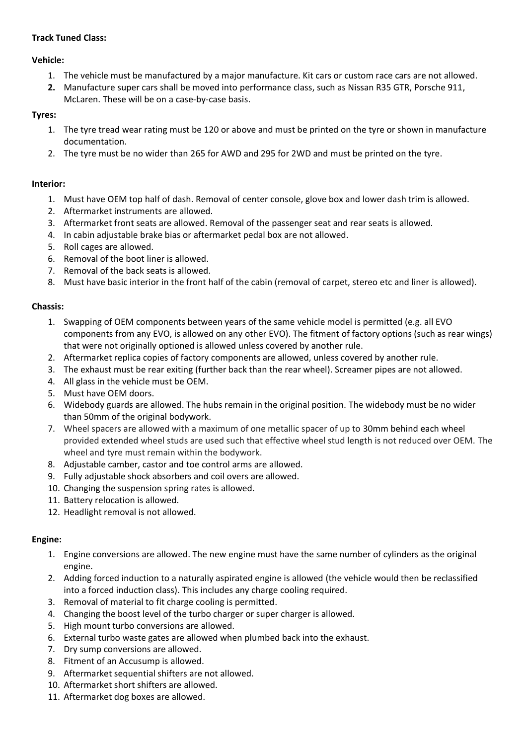# **Track Tuned Class:**

#### **Vehicle:**

- 1. The vehicle must be manufactured by a major manufacture. Kit cars or custom race cars are not allowed.
- **2.** Manufacture super cars shall be moved into performance class, such as Nissan R35 GTR, Porsche 911, McLaren. These will be on a case-by-case basis.

# **Tyres:**

- 1. The tyre tread wear rating must be 120 or above and must be printed on the tyre or shown in manufacture documentation.
- 2. The tyre must be no wider than 265 for AWD and 295 for 2WD and must be printed on the tyre.

# **Interior:**

- 1. Must have OEM top half of dash. Removal of center console, glove box and lower dash trim is allowed.
- 2. Aftermarket instruments are allowed.
- 3. Aftermarket front seats are allowed. Removal of the passenger seat and rear seats is allowed.
- 4. In cabin adjustable brake bias or aftermarket pedal box are not allowed.
- 5. Roll cages are allowed.
- 6. Removal of the boot liner is allowed.
- 7. Removal of the back seats is allowed.
- 8. Must have basic interior in the front half of the cabin (removal of carpet, stereo etc and liner is allowed).

# **Chassis:**

- 1. Swapping of OEM components between years of the same vehicle model is permitted (e.g. all EVO components from any EVO, is allowed on any other EVO). The fitment of factory options (such as rear wings) that were not originally optioned is allowed unless covered by another rule.
- 2. Aftermarket replica copies of factory components are allowed, unless covered by another rule.
- 3. The exhaust must be rear exiting (further back than the rear wheel). Screamer pipes are not allowed.
- 4. All glass in the vehicle must be OEM.
- 5. Must have OEM doors.
- 6. Widebody guards are allowed. The hubs remain in the original position. The widebody must be no wider than 50mm of the original bodywork.
- 7. Wheel spacers are allowed with a maximum of one metallic spacer of up to 30mm behind each wheel provided extended wheel studs are used such that effective wheel stud length is not reduced over OEM. The wheel and tyre must remain within the bodywork.
- 8. Adjustable camber, castor and toe control arms are allowed.
- 9. Fully adjustable shock absorbers and coil overs are allowed.
- 10. Changing the suspension spring rates is allowed.
- 11. Battery relocation is allowed.
- 12. Headlight removal is not allowed.

# **Engine:**

- 1. Engine conversions are allowed. The new engine must have the same number of cylinders as the original engine.
- 2. Adding forced induction to a naturally aspirated engine is allowed (the vehicle would then be reclassified into a forced induction class). This includes any charge cooling required.
- 3. Removal of material to fit charge cooling is permitted.
- 4. Changing the boost level of the turbo charger or super charger is allowed.
- 5. High mount turbo conversions are allowed.
- 6. External turbo waste gates are allowed when plumbed back into the exhaust.
- 7. Dry sump conversions are allowed.
- 8. Fitment of an Accusump is allowed.
- 9. Aftermarket sequential shifters are not allowed.
- 10. Aftermarket short shifters are allowed.
- 11. Aftermarket dog boxes are allowed.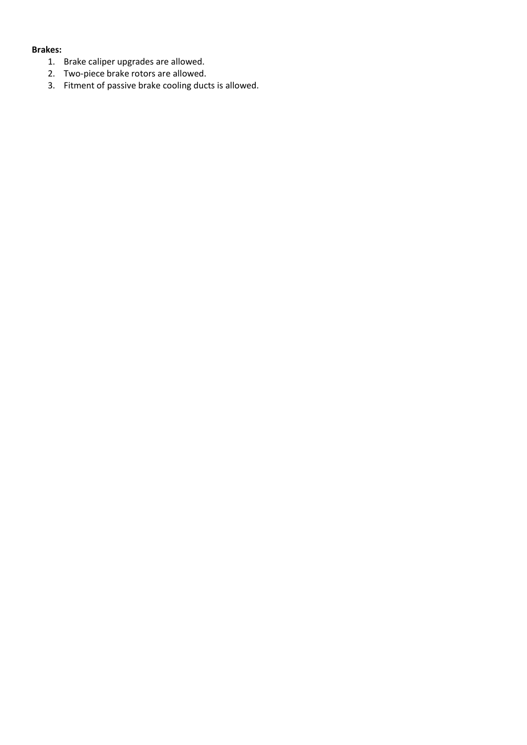#### **Brakes:**

- 1. Brake caliper upgrades are allowed.
- 2. Two-piece brake rotors are allowed.
- 3. Fitment of passive brake cooling ducts is allowed.